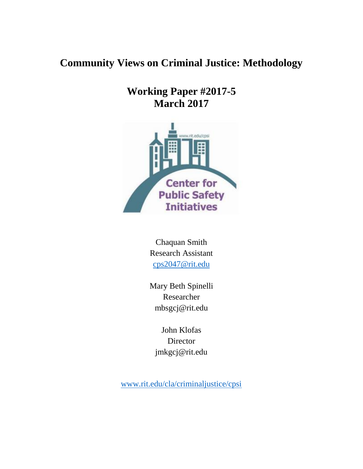# **Community Views on Criminal Justice: Methodology**

**Working Paper #2017-5 March 2017**



Chaquan Smith Research Assistant [cps2047@rit.edu](mailto:cps2047@rit.edu)

Mary Beth Spinelli Researcher mbsgcj@rit.edu

John Klofas Director jmkgcj@rit.edu

[www.rit.edu/cla/criminaljustice/cpsi](http://www.rit.edu/cla/criminaljustice/cpsi)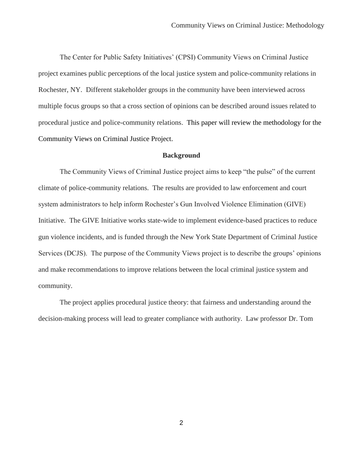The Center for Public Safety Initiatives' (CPSI) Community Views on Criminal Justice project examines public perceptions of the local justice system and police-community relations in Rochester, NY. Different stakeholder groups in the community have been interviewed across multiple focus groups so that a cross section of opinions can be described around issues related to procedural justice and police-community relations. This paper will review the methodology for the Community Views on Criminal Justice Project.

## **Background**

The Community Views of Criminal Justice project aims to keep "the pulse" of the current climate of police-community relations. The results are provided to law enforcement and court system administrators to help inform Rochester's Gun Involved Violence Elimination (GIVE) Initiative. The GIVE Initiative works state-wide to implement evidence-based practices to reduce gun violence incidents, and is funded through the New York State Department of Criminal Justice Services (DCJS). The purpose of the Community Views project is to describe the groups' opinions and make recommendations to improve relations between the local criminal justice system and community.

The project applies procedural justice theory: that fairness and understanding around the decision-making process will lead to greater compliance with authority. Law professor Dr. Tom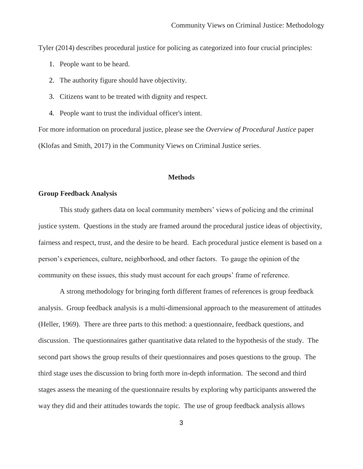Tyler (2014) describes procedural justice for policing as categorized into four crucial principles:

- 1. People want to be heard.
- 2. The authority figure should have objectivity.
- 3. Citizens want to be treated with dignity and respect.
- 4. People want to trust the individual officer's intent.

For more information on procedural justice, please see the *Overview of Procedural Justice* paper (Klofas and Smith, 2017) in the Community Views on Criminal Justice series.

## **Methods**

# **Group Feedback Analysis**

This study gathers data on local community members' views of policing and the criminal justice system. Questions in the study are framed around the procedural justice ideas of objectivity, fairness and respect, trust, and the desire to be heard. Each procedural justice element is based on a person's experiences, culture, neighborhood, and other factors. To gauge the opinion of the community on these issues, this study must account for each groups' frame of reference.

A strong methodology for bringing forth different frames of references is group feedback analysis. Group feedback analysis is a multi-dimensional approach to the measurement of attitudes (Heller, 1969). There are three parts to this method: a questionnaire, feedback questions, and discussion. The questionnaires gather quantitative data related to the hypothesis of the study. The second part shows the group results of their questionnaires and poses questions to the group. The third stage uses the discussion to bring forth more in-depth information. The second and third stages assess the meaning of the questionnaire results by exploring why participants answered the way they did and their attitudes towards the topic. The use of group feedback analysis allows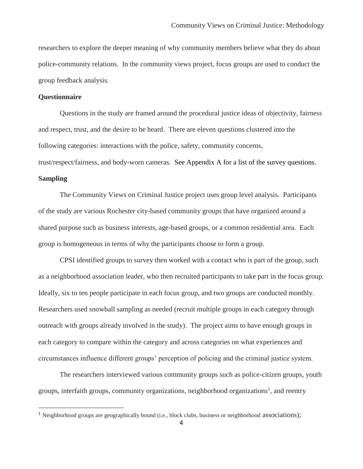researchers to explore the deeper meaning of why community members believe what they do about police-community relations. In the community views project, focus groups are used to conduct the group feedback analysis.

#### **Questionnaire**

Questions in the study are framed around the procedural justice ideas of objectivity, fairness and respect, trust, and the desire to be heard. There are eleven questions clustered into the following categories: interactions with the police, safety, community concerns, trust/respect/fairness, and body-worn cameras. See Appendix A for a list of the survey questions.

#### **Sampling**

The Community Views on Criminal Justice project uses group level analysis. Participants of the study are various Rochester city-based community groups that have organized around a shared purpose such as business interests, age-based groups, or a common residential area. Each group is homogeneous in terms of why the participants choose to form a group.

CPSI identified groups to survey then worked with a contact who is part of the group, such as a neighborhood association leader, who then recruited participants to take part in the focus group. Ideally, six to ten people participate in each focus group, and two groups are conducted monthly. Researchers used snowball sampling as needed (recruit multiple groups in each category through outreach with groups already involved in the study). The project aims to have enough groups in each category to compare within the category and across categories on what experiences and circumstances influence different groups' perception of policing and the criminal justice system.

The researchers interviewed various community groups such as police-citizen groups, youth groups, interfaith groups, community organizations, neighborhood organizations<sup>1</sup>, and reentry

<sup>&</sup>lt;sup>1</sup> Neighborhood groups are geographically bound (i.e., block clubs, business or neighborhood associations);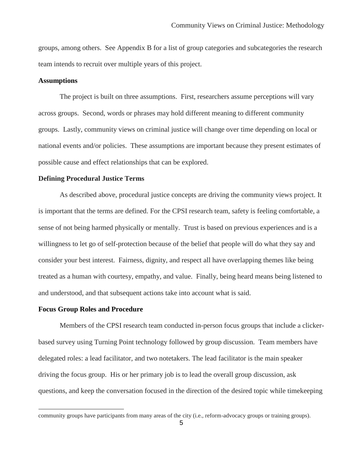groups, among others. See Appendix B for a list of group categories and subcategories the research team intends to recruit over multiple years of this project.

# **Assumptions**

The project is built on three assumptions. First, researchers assume perceptions will vary across groups. Second, words or phrases may hold different meaning to different community groups. Lastly, community views on criminal justice will change over time depending on local or national events and/or policies. These assumptions are important because they present estimates of possible cause and effect relationships that can be explored.

#### **Defining Procedural Justice Terms**

As described above, procedural justice concepts are driving the community views project. It is important that the terms are defined. For the CPSI research team, safety is feeling comfortable, a sense of not being harmed physically or mentally. Trust is based on previous experiences and is a willingness to let go of self-protection because of the belief that people will do what they say and consider your best interest. Fairness, dignity, and respect all have overlapping themes like being treated as a human with courtesy, empathy, and value. Finally, being heard means being listened to and understood, and that subsequent actions take into account what is said.

### **Focus Group Roles and Procedure**

Members of the CPSI research team conducted in-person focus groups that include a clickerbased survey using Turning Point technology followed by group discussion. Team members have delegated roles: a lead facilitator, and two notetakers. The lead facilitator is the main speaker driving the focus group. His or her primary job is to lead the overall group discussion, ask questions, and keep the conversation focused in the direction of the desired topic while timekeeping

community groups have participants from many areas of the city (i.e., reform-advocacy groups or training groups).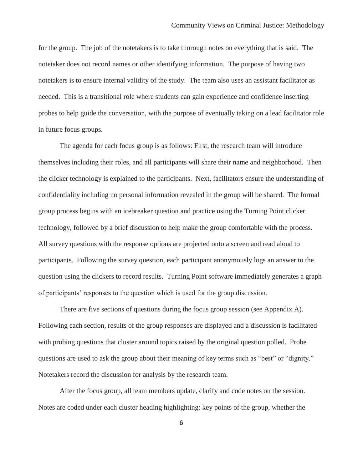for the group. The job of the notetakers is to take thorough notes on everything that is said. The notetaker does not record names or other identifying information. The purpose of having two notetakers is to ensure internal validity of the study. The team also uses an assistant facilitator as needed. This is a transitional role where students can gain experience and confidence inserting probes to help guide the conversation, with the purpose of eventually taking on a lead facilitator role in future focus groups.

The agenda for each focus group is as follows: First, the research team will introduce themselves including their roles, and all participants will share their name and neighborhood. Then the clicker technology is explained to the participants. Next, facilitators ensure the understanding of confidentiality including no personal information revealed in the group will be shared. The formal group process begins with an icebreaker question and practice using the Turning Point clicker technology, followed by a brief discussion to help make the group comfortable with the process. All survey questions with the response options are projected onto a screen and read aloud to participants. Following the survey question, each participant anonymously logs an answer to the question using the clickers to record results. Turning Point software immediately generates a graph of participants' responses to the question which is used for the group discussion.

There are five sections of questions during the focus group session (see Appendix A). Following each section, results of the group responses are displayed and a discussion is facilitated with probing questions that cluster around topics raised by the original question polled. Probe questions are used to ask the group about their meaning of key terms such as "best" or "dignity." Notetakers record the discussion for analysis by the research team.

After the focus group, all team members update, clarify and code notes on the session. Notes are coded under each cluster heading highlighting: key points of the group, whether the

6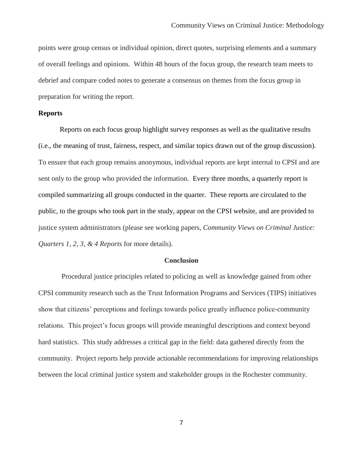points were group census or individual opinion, direct quotes, surprising elements and a summary of overall feelings and opinions. Within 48 hours of the focus group, the research team meets to debrief and compare coded notes to generate a consensus on themes from the focus group in preparation for writing the report.

# **Reports**

Reports on each focus group highlight survey responses as well as the qualitative results (i.e., the meaning of trust, fairness, respect, and similar topics drawn out of the group discussion). To ensure that each group remains anonymous, individual reports are kept internal to CPSI and are sent only to the group who provided the information. Every three months, a quarterly report is compiled summarizing all groups conducted in the quarter. These reports are circulated to the public, to the groups who took part in the study, appear on the CPSI website, and are provided to justice system administrators (please see working papers, *Community Views on Criminal Justice: Quarters 1, 2, 3, & 4 Reports* for more details).

# **Conclusion**

Procedural justice principles related to policing as well as knowledge gained from other CPSI community research such as the Trust Information Programs and Services (TIPS) initiatives show that citizens' perceptions and feelings towards police greatly influence police-community relations. This project's focus groups will provide meaningful descriptions and context beyond hard statistics. This study addresses a critical gap in the field: data gathered directly from the community. Project reports help provide actionable recommendations for improving relationships between the local criminal justice system and stakeholder groups in the Rochester community.

7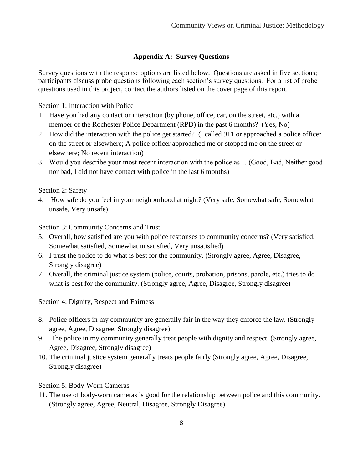# **Appendix A: Survey Questions**

Survey questions with the response options are listed below. Questions are asked in five sections; participants discuss probe questions following each section's survey questions. For a list of probe questions used in this project, contact the authors listed on the cover page of this report.

Section 1: Interaction with Police

- 1. Have you had any contact or interaction (by phone, office, car, on the street, etc.) with a member of the Rochester Police Department (RPD) in the past 6 months? (Yes, No)
- 2. How did the interaction with the police get started? (I called 911 or approached a police officer on the street or elsewhere; A police officer approached me or stopped me on the street or elsewhere; No recent interaction)
- 3. Would you describe your most recent interaction with the police as… (Good, Bad, Neither good nor bad, I did not have contact with police in the last 6 months)

Section 2: Safety

4. How safe do you feel in your neighborhood at night? (Very safe, Somewhat safe, Somewhat unsafe, Very unsafe)

Section 3: Community Concerns and Trust

- 5. Overall, how satisfied are you with police responses to community concerns? (Very satisfied, Somewhat satisfied, Somewhat unsatisfied, Very unsatisfied)
- 6. I trust the police to do what is best for the community. (Strongly agree, Agree, Disagree, Strongly disagree)
- 7. Overall, the criminal justice system (police, courts, probation, prisons, parole, etc.) tries to do what is best for the community. (Strongly agree, Agree, Disagree, Strongly disagree)

Section 4: Dignity, Respect and Fairness

- 8. Police officers in my community are generally fair in the way they enforce the law. (Strongly agree, Agree, Disagree, Strongly disagree)
- 9. The police in my community generally treat people with dignity and respect. (Strongly agree, Agree, Disagree, Strongly disagree)
- 10. The criminal justice system generally treats people fairly (Strongly agree, Agree, Disagree, Strongly disagree)

Section 5: Body-Worn Cameras

11. The use of body-worn cameras is good for the relationship between police and this community. (Strongly agree, Agree, Neutral, Disagree, Strongly Disagree)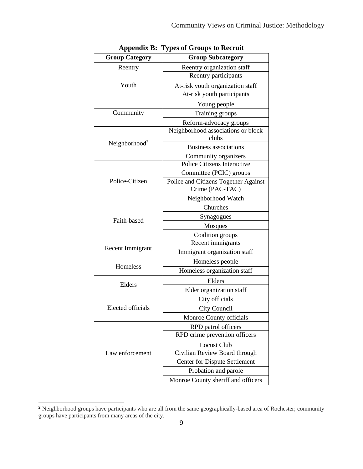| <b>Group Category</b>     | <b>Group Subcategory</b>             |
|---------------------------|--------------------------------------|
| Reentry                   | Reentry organization staff           |
|                           | Reentry participants                 |
| Youth                     | At-risk youth organization staff     |
|                           | At-risk youth participants           |
|                           | Young people                         |
| Community                 | Training groups                      |
|                           | Reform-advocacy groups               |
| Neighborhood <sup>2</sup> | Neighborhood associations or block   |
|                           | clubs                                |
|                           | <b>Business associations</b>         |
|                           | Community organizers                 |
| Police-Citizen            | Police Citizens Interactive          |
|                           | Committee (PCIC) groups              |
|                           | Police and Citizens Together Against |
|                           | Crime (PAC-TAC)                      |
|                           | Neighborhood Watch                   |
| Faith-based               | Churches                             |
|                           | Synagogues                           |
|                           | Mosques                              |
|                           | Coalition groups                     |
| Recent Immigrant          | Recent immigrants                    |
|                           | Immigrant organization staff         |
| Homeless                  | Homeless people                      |
|                           | Homeless organization staff          |
| Elders                    | Elders                               |
|                           | Elder organization staff             |
| <b>Elected officials</b>  | City officials                       |
|                           | City Council                         |
|                           | Monroe County officials              |
| Law enforcement           | RPD patrol officers                  |
|                           | RPD crime prevention officers        |
|                           | <b>Locust Club</b>                   |
|                           | Civilian Review Board through        |
|                           | <b>Center for Dispute Settlement</b> |
|                           | Probation and parole                 |
|                           | Monroe County sheriff and officers   |

**Appendix B: Types of Groups to Recruit** 

 $\overline{a}$ 

<sup>&</sup>lt;sup>2</sup> Neighborhood groups have participants who are all from the same geographically-based area of Rochester; community groups have participants from many areas of the city.